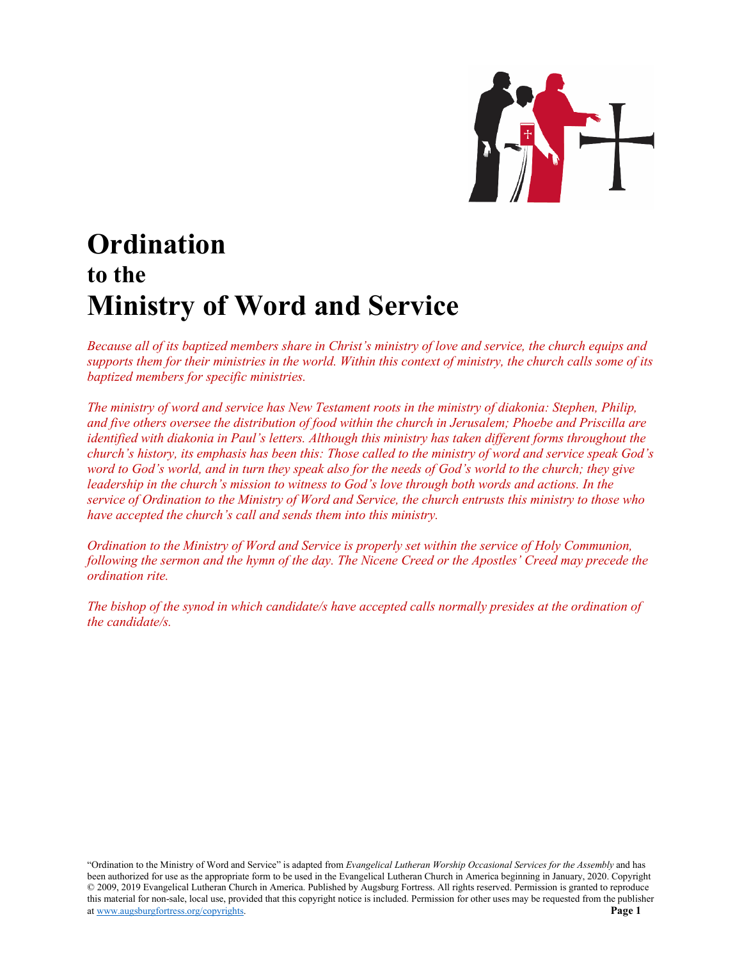

# **Ordination to the Ministry of Word and Service**

*Because all of its baptized members share in Christ's ministry of love and service, the church equips and supports them for their ministries in the world. Within this context of ministry, the church calls some of its baptized members for specific ministries.*

*The ministry of word and service has New Testament roots in the ministry of diakonia: Stephen, Philip, and five others oversee the distribution of food within the church in Jerusalem; Phoebe and Priscilla are identified with diakonia in Paul's letters. Although this ministry has taken different forms throughout the church's history, its emphasis has been this: Those called to the ministry of word and service speak God's word to God's world, and in turn they speak also for the needs of God's world to the church; they give leadership in the church's mission to witness to God's love through both words and actions. In the service of Ordination to the Ministry of Word and Service, the church entrusts this ministry to those who have accepted the church's call and sends them into this ministry.*

*Ordination to the Ministry of Word and Service is properly set within the service of Holy Communion, following the sermon and the hymn of the day. The Nicene Creed or the Apostles' Creed may precede the ordination rite.*

*The bishop of the synod in which candidate/s have accepted calls normally presides at the ordination of the candidate/s.*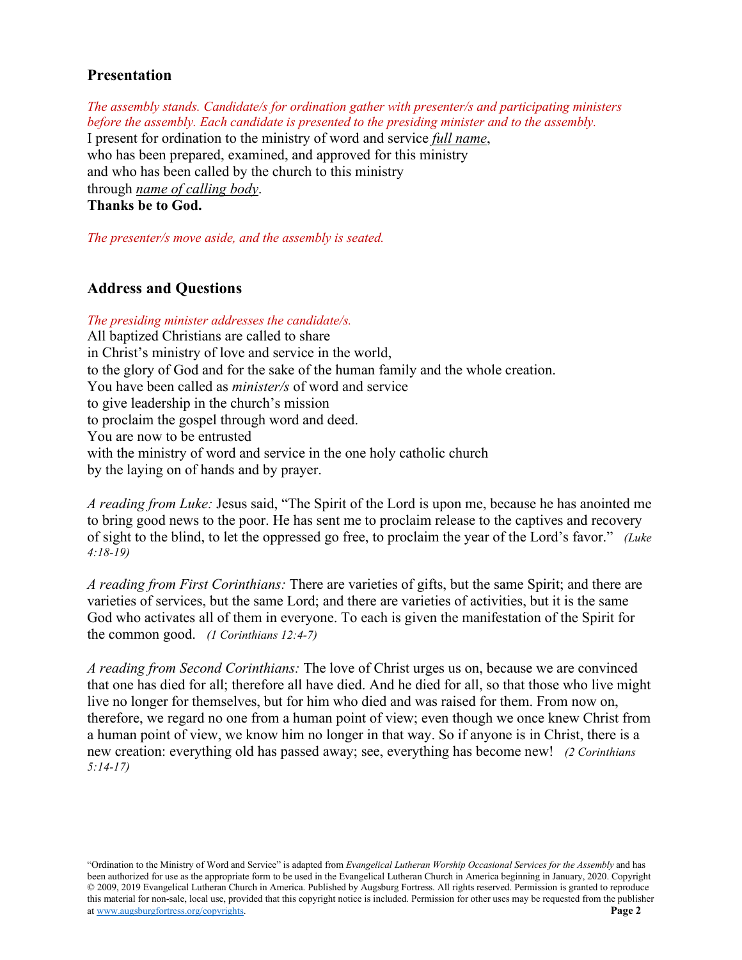# **Presentation**

*The assembly stands. Candidate/s for ordination gather with presenter/s and participating ministers before the assembly. Each candidate is presented to the presiding minister and to the assembly.* I present for ordination to the ministry of word and service *full name*, who has been prepared, examined, and approved for this ministry and who has been called by the church to this ministry through *name of calling body*. **Thanks be to God.**

*The presenter/s move aside, and the assembly is seated.*

# **Address and Questions**

*The presiding minister addresses the candidate/s.* All baptized Christians are called to share in Christ's ministry of love and service in the world, to the glory of God and for the sake of the human family and the whole creation. You have been called as *minister/s* of word and service to give leadership in the church's mission to proclaim the gospel through word and deed. You are now to be entrusted with the ministry of word and service in the one holy catholic church by the laying on of hands and by prayer.

*A reading from Luke:* Jesus said, "The Spirit of the Lord is upon me, because he has anointed me to bring good news to the poor. He has sent me to proclaim release to the captives and recovery of sight to the blind, to let the oppressed go free, to proclaim the year of the Lord's favor." *(Luke 4:18-19)*

*A reading from First Corinthians:* There are varieties of gifts, but the same Spirit; and there are varieties of services, but the same Lord; and there are varieties of activities, but it is the same God who activates all of them in everyone. To each is given the manifestation of the Spirit for the common good. *(1 Corinthians 12:4-7)*

*A reading from Second Corinthians:* The love of Christ urges us on, because we are convinced that one has died for all; therefore all have died. And he died for all, so that those who live might live no longer for themselves, but for him who died and was raised for them. From now on, therefore, we regard no one from a human point of view; even though we once knew Christ from a human point of view, we know him no longer in that way. So if anyone is in Christ, there is a new creation: everything old has passed away; see, everything has become new! *(2 Corinthians 5:14-17)*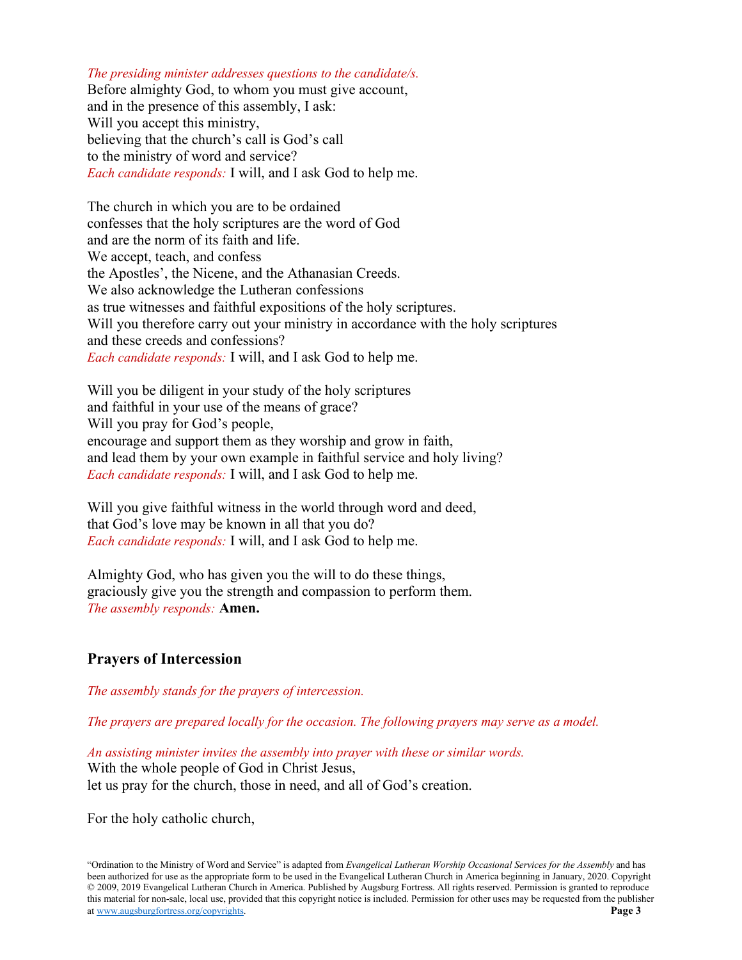### *The presiding minister addresses questions to the candidate/s.*

Before almighty God, to whom you must give account, and in the presence of this assembly, I ask: Will you accept this ministry, believing that the church's call is God's call to the ministry of word and service? *Each candidate responds:* I will, and I ask God to help me.

The church in which you are to be ordained confesses that the holy scriptures are the word of God and are the norm of its faith and life. We accept, teach, and confess the Apostles', the Nicene, and the Athanasian Creeds. We also acknowledge the Lutheran confessions as true witnesses and faithful expositions of the holy scriptures. Will you therefore carry out your ministry in accordance with the holy scriptures and these creeds and confessions? *Each candidate responds:* I will, and I ask God to help me.

Will you be diligent in your study of the holy scriptures and faithful in your use of the means of grace? Will you pray for God's people, encourage and support them as they worship and grow in faith, and lead them by your own example in faithful service and holy living? *Each candidate responds:* I will, and I ask God to help me.

Will you give faithful witness in the world through word and deed, that God's love may be known in all that you do? *Each candidate responds:* I will, and I ask God to help me.

Almighty God, who has given you the will to do these things, graciously give you the strength and compassion to perform them. *The assembly responds:* **Amen.**

# **Prayers of Intercession**

*The assembly stands for the prayers of intercession.*

*The prayers are prepared locally for the occasion. The following prayers may serve as a model.*

*An assisting minister invites the assembly into prayer with these or similar words.* With the whole people of God in Christ Jesus, let us pray for the church, those in need, and all of God's creation.

For the holy catholic church,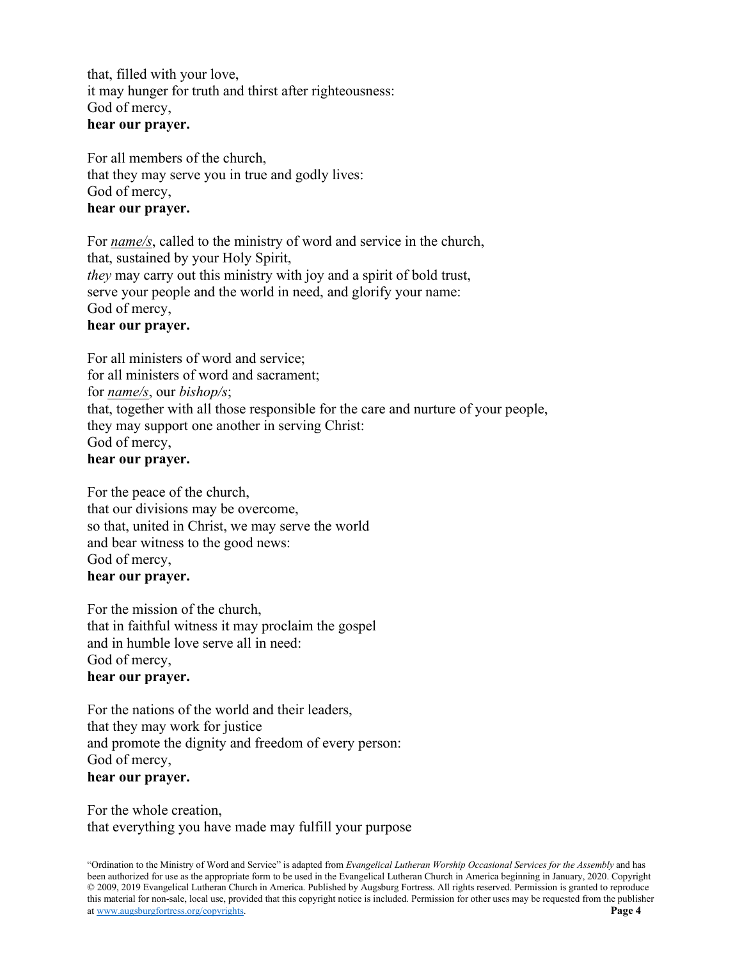that, filled with your love, it may hunger for truth and thirst after righteousness: God of mercy, **hear our prayer.**

For all members of the church, that they may serve you in true and godly lives: God of mercy, **hear our prayer.**

For *name/s*, called to the ministry of word and service in the church, that, sustained by your Holy Spirit, *they* may carry out this ministry with joy and a spirit of bold trust, serve your people and the world in need, and glorify your name: God of mercy,

# **hear our prayer.**

For all ministers of word and service; for all ministers of word and sacrament; for *name/s*, our *bishop/s*; that, together with all those responsible for the care and nurture of your people, they may support one another in serving Christ: God of mercy, **hear our prayer.**

For the peace of the church, that our divisions may be overcome, so that, united in Christ, we may serve the world and bear witness to the good news: God of mercy, **hear our prayer.**

For the mission of the church, that in faithful witness it may proclaim the gospel and in humble love serve all in need: God of mercy, **hear our prayer.**

For the nations of the world and their leaders, that they may work for justice and promote the dignity and freedom of every person: God of mercy, **hear our prayer.**

For the whole creation, that everything you have made may fulfill your purpose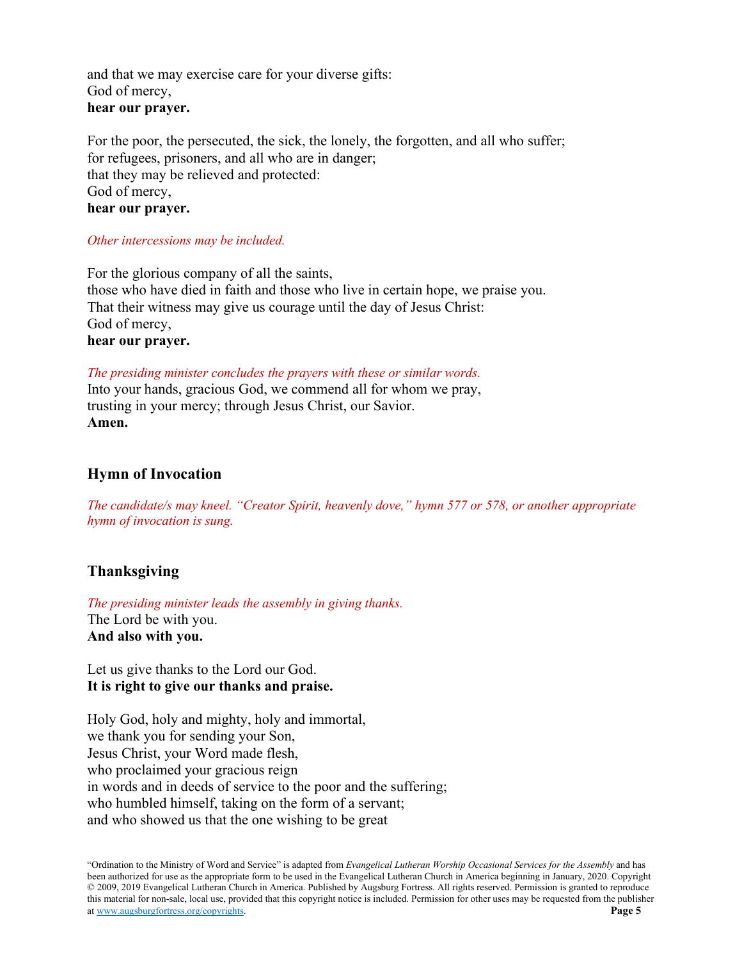and that we may exercise care for your diverse gifts: God of mercy, **hear our prayer.**

For the poor, the persecuted, the sick, the lonely, the forgotten, and all who suffer; for refugees, prisoners, and all who are in danger; that they may be relieved and protected: God of mercy, **hear our prayer.**

*Other intercessions may be included.*

For the glorious company of all the saints, those who have died in faith and those who live in certain hope, we praise you. That their witness may give us courage until the day of Jesus Christ: God of mercy, **hear our prayer.**

*The presiding minister concludes the prayers with these or similar words.* Into your hands, gracious God, we commend all for whom we pray, trusting in your mercy; through Jesus Christ, our Savior. **Amen.**

# **Hymn of Invocation**

*The candidate/s may kneel. "Creator Spirit, heavenly dove," hymn 577 or 578, or another appropriate hymn of invocation is sung.*

# **Thanksgiving**

*The presiding minister leads the assembly in giving thanks.* The Lord be with you. **And also with you.**

Let us give thanks to the Lord our God. **It is right to give our thanks and praise.**

Holy God, holy and mighty, holy and immortal, we thank you for sending your Son, Jesus Christ, your Word made flesh, who proclaimed your gracious reign in words and in deeds of service to the poor and the suffering; who humbled himself, taking on the form of a servant; and who showed us that the one wishing to be great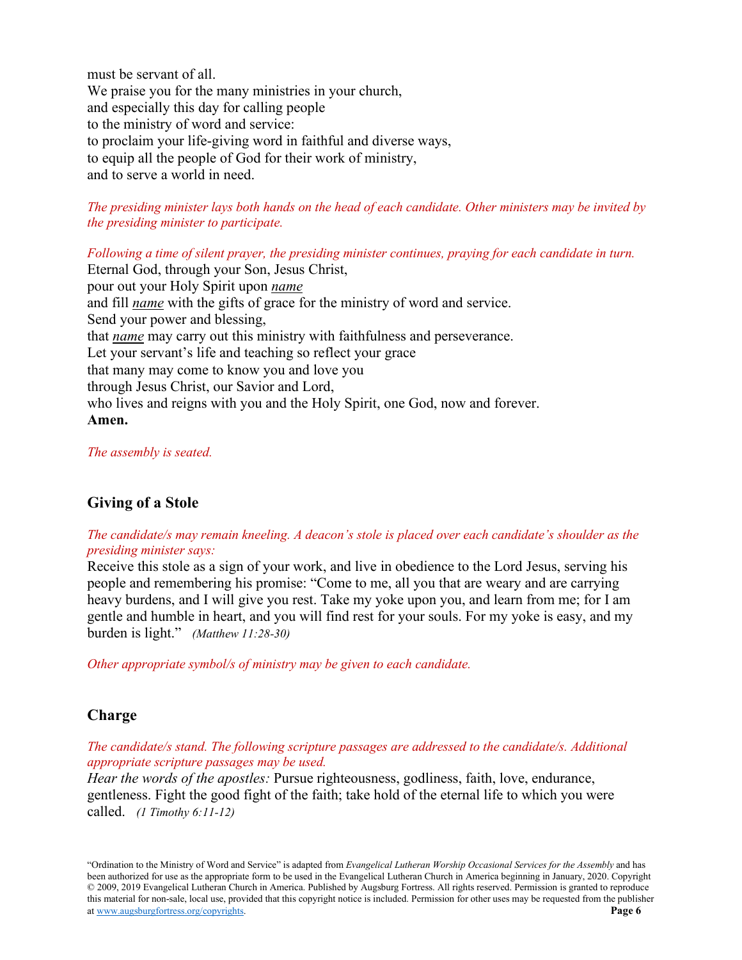must be servant of all. We praise you for the many ministries in your church, and especially this day for calling people to the ministry of word and service: to proclaim your life-giving word in faithful and diverse ways, to equip all the people of God for their work of ministry, and to serve a world in need.

### *The presiding minister lays both hands on the head of each candidate. Other ministers may be invited by the presiding minister to participate.*

*Following a time of silent prayer, the presiding minister continues, praying for each candidate in turn.* Eternal God, through your Son, Jesus Christ, pour out your Holy Spirit upon *name* and fill *name* with the gifts of grace for the ministry of word and service. Send your power and blessing, that *name* may carry out this ministry with faithfulness and perseverance. Let your servant's life and teaching so reflect your grace that many may come to know you and love you through Jesus Christ, our Savior and Lord, who lives and reigns with you and the Holy Spirit, one God, now and forever. **Amen.**

### *The assembly is seated.*

# **Giving of a Stole**

# *The candidate/s may remain kneeling. A deacon's stole is placed over each candidate's shoulder as the presiding minister says:*

Receive this stole as a sign of your work, and live in obedience to the Lord Jesus, serving his people and remembering his promise: "Come to me, all you that are weary and are carrying heavy burdens, and I will give you rest. Take my yoke upon you, and learn from me; for I am gentle and humble in heart, and you will find rest for your souls. For my yoke is easy, and my burden is light." *(Matthew 11:28-30)*

*Other appropriate symbol/s of ministry may be given to each candidate.* 

# **Charge**

### *The candidate/s stand. The following scripture passages are addressed to the candidate/s. Additional appropriate scripture passages may be used.*

*Hear the words of the apostles:* Pursue righteousness, godliness, faith, love, endurance, gentleness. Fight the good fight of the faith; take hold of the eternal life to which you were called. *(1 Timothy 6:11-12)*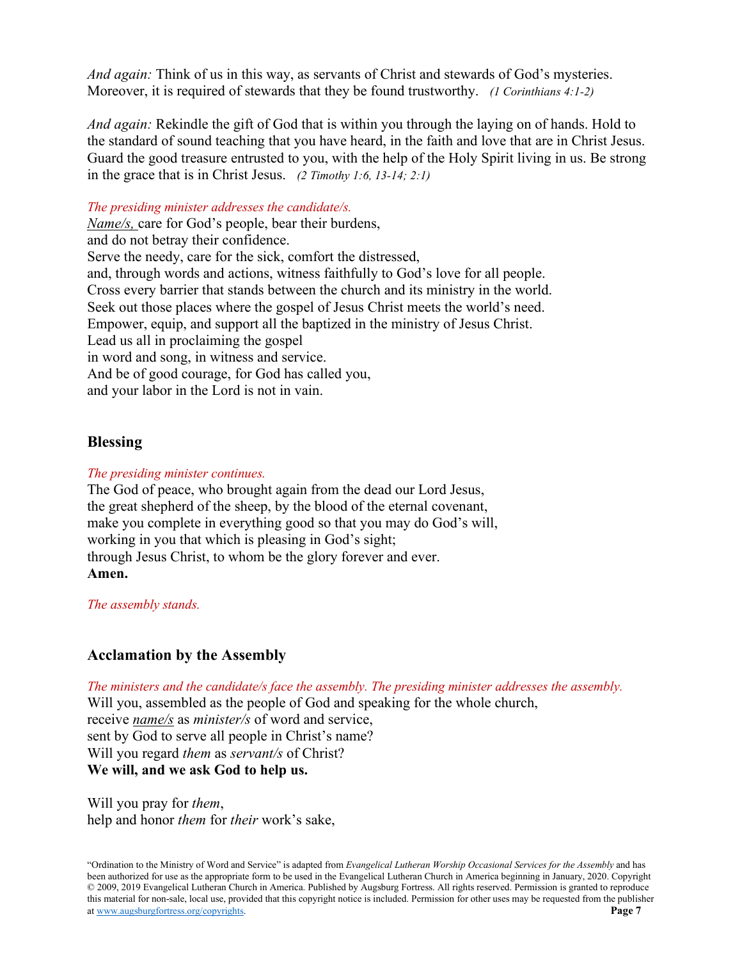*And again:* Think of us in this way, as servants of Christ and stewards of God's mysteries. Moreover, it is required of stewards that they be found trustworthy. *(1 Corinthians 4:1-2)*

*And again:* Rekindle the gift of God that is within you through the laying on of hands. Hold to the standard of sound teaching that you have heard, in the faith and love that are in Christ Jesus. Guard the good treasure entrusted to you, with the help of the Holy Spirit living in us. Be strong in the grace that is in Christ Jesus. *(2 Timothy 1:6, 13-14; 2:1)*

*The presiding minister addresses the candidate/s.*

*Name/s,* care for God's people, bear their burdens, and do not betray their confidence. Serve the needy, care for the sick, comfort the distressed, and, through words and actions, witness faithfully to God's love for all people. Cross every barrier that stands between the church and its ministry in the world. Seek out those places where the gospel of Jesus Christ meets the world's need. Empower, equip, and support all the baptized in the ministry of Jesus Christ. Lead us all in proclaiming the gospel in word and song, in witness and service. And be of good courage, for God has called you, and your labor in the Lord is not in vain.

# **Blessing**

### *The presiding minister continues.*

The God of peace, who brought again from the dead our Lord Jesus, the great shepherd of the sheep, by the blood of the eternal covenant, make you complete in everything good so that you may do God's will, working in you that which is pleasing in God's sight; through Jesus Christ, to whom be the glory forever and ever. **Amen.**

*The assembly stands.*

# **Acclamation by the Assembly**

*The ministers and the candidate/s face the assembly. The presiding minister addresses the assembly.* Will you, assembled as the people of God and speaking for the whole church, receive *name/s* as *minister/s* of word and service, sent by God to serve all people in Christ's name? Will you regard *them* as *servant/s* of Christ?

**We will, and we ask God to help us.**

Will you pray for *them*, help and honor *them* for *their* work's sake,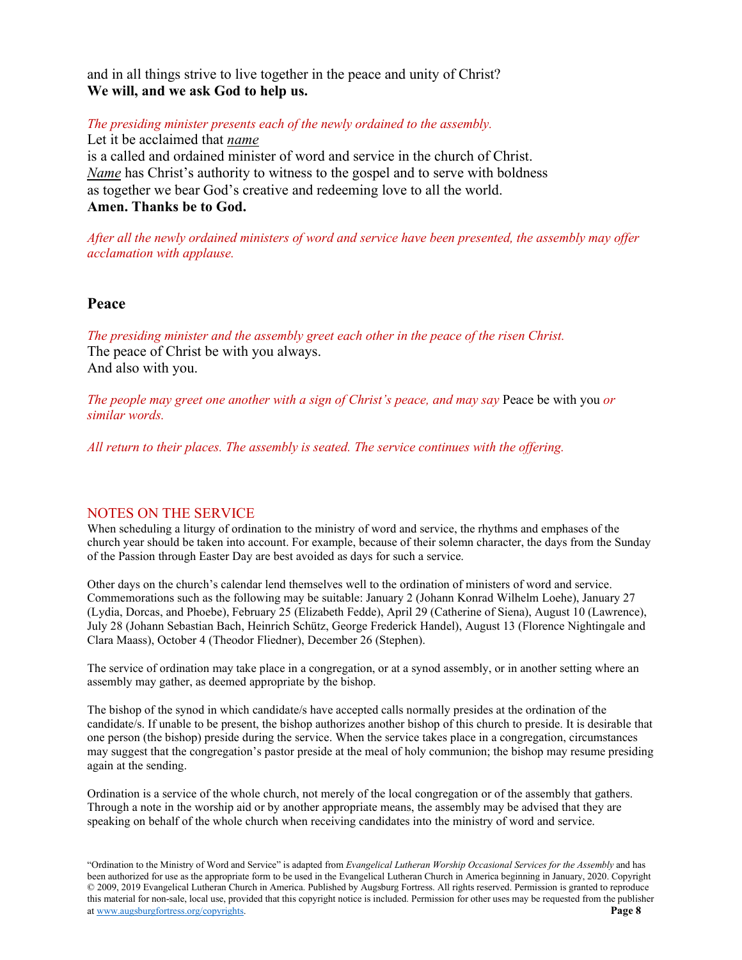and in all things strive to live together in the peace and unity of Christ? **We will, and we ask God to help us.**

*The presiding minister presents each of the newly ordained to the assembly.*

Let it be acclaimed that *name* is a called and ordained minister of word and service in the church of Christ. *Name* has Christ's authority to witness to the gospel and to serve with boldness as together we bear God's creative and redeeming love to all the world. **Amen. Thanks be to God.**

*After all the newly ordained ministers of word and service have been presented, the assembly may offer acclamation with applause.*

### **Peace**

*The presiding minister and the assembly greet each other in the peace of the risen Christ.* The peace of Christ be with you always. And also with you.

*The people may greet one another with a sign of Christ's peace, and may say Peace be with you or similar words.*

*All return to their places. The assembly is seated. The service continues with the offering.*

### NOTES ON THE SERVICE

When scheduling a liturgy of ordination to the ministry of word and service, the rhythms and emphases of the church year should be taken into account. For example, because of their solemn character, the days from the Sunday of the Passion through Easter Day are best avoided as days for such a service.

Other days on the church's calendar lend themselves well to the ordination of ministers of word and service. Commemorations such as the following may be suitable: January 2 (Johann Konrad Wilhelm Loehe), January 27 (Lydia, Dorcas, and Phoebe), February 25 (Elizabeth Fedde), April 29 (Catherine of Siena), August 10 (Lawrence), July 28 (Johann Sebastian Bach, Heinrich Schütz, George Frederick Handel), August 13 (Florence Nightingale and Clara Maass), October 4 (Theodor Fliedner), December 26 (Stephen).

The service of ordination may take place in a congregation, or at a synod assembly, or in another setting where an assembly may gather, as deemed appropriate by the bishop.

The bishop of the synod in which candidate/s have accepted calls normally presides at the ordination of the candidate/s. If unable to be present, the bishop authorizes another bishop of this church to preside. It is desirable that one person (the bishop) preside during the service. When the service takes place in a congregation, circumstances may suggest that the congregation's pastor preside at the meal of holy communion; the bishop may resume presiding again at the sending.

Ordination is a service of the whole church, not merely of the local congregation or of the assembly that gathers. Through a note in the worship aid or by another appropriate means, the assembly may be advised that they are speaking on behalf of the whole church when receiving candidates into the ministry of word and service.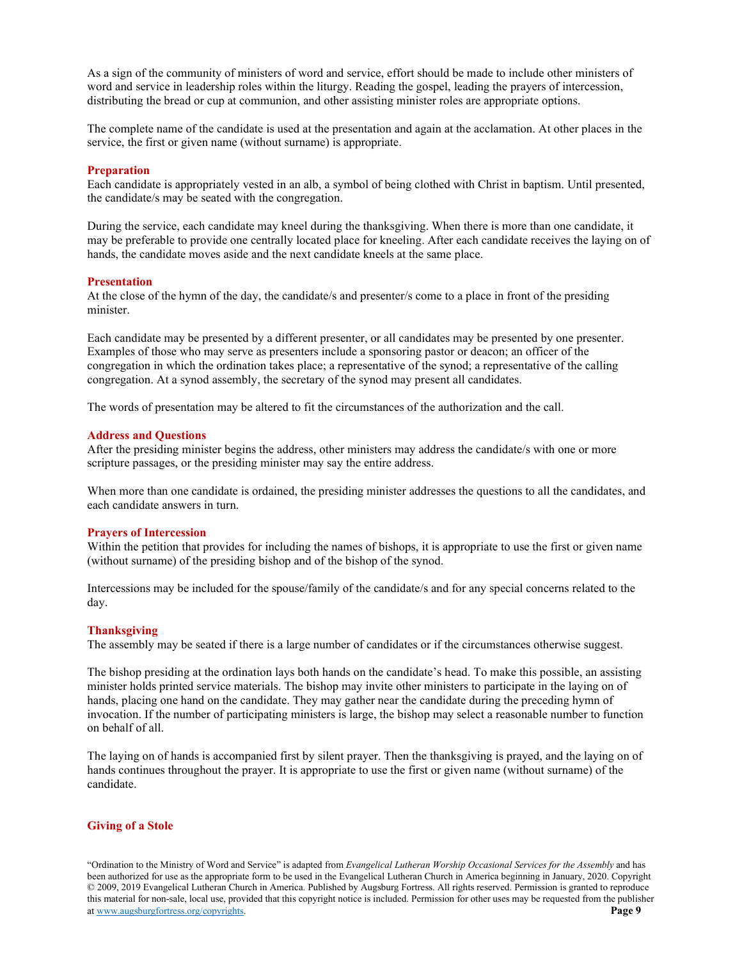As a sign of the community of ministers of word and service, effort should be made to include other ministers of word and service in leadership roles within the liturgy. Reading the gospel, leading the prayers of intercession, distributing the bread or cup at communion, and other assisting minister roles are appropriate options.

The complete name of the candidate is used at the presentation and again at the acclamation. At other places in the service, the first or given name (without surname) is appropriate.

#### **Preparation**

Each candidate is appropriately vested in an alb, a symbol of being clothed with Christ in baptism. Until presented, the candidate/s may be seated with the congregation.

During the service, each candidate may kneel during the thanksgiving. When there is more than one candidate, it may be preferable to provide one centrally located place for kneeling. After each candidate receives the laying on of hands, the candidate moves aside and the next candidate kneels at the same place.

#### **Presentation**

At the close of the hymn of the day, the candidate/s and presenter/s come to a place in front of the presiding minister.

Each candidate may be presented by a different presenter, or all candidates may be presented by one presenter. Examples of those who may serve as presenters include a sponsoring pastor or deacon; an officer of the congregation in which the ordination takes place; a representative of the synod; a representative of the calling congregation. At a synod assembly, the secretary of the synod may present all candidates.

The words of presentation may be altered to fit the circumstances of the authorization and the call.

#### **Address and Questions**

After the presiding minister begins the address, other ministers may address the candidate/s with one or more scripture passages, or the presiding minister may say the entire address.

When more than one candidate is ordained, the presiding minister addresses the questions to all the candidates, and each candidate answers in turn.

#### **Prayers of Intercession**

Within the petition that provides for including the names of bishops, it is appropriate to use the first or given name (without surname) of the presiding bishop and of the bishop of the synod.

Intercessions may be included for the spouse/family of the candidate/s and for any special concerns related to the day.

#### **Thanksgiving**

The assembly may be seated if there is a large number of candidates or if the circumstances otherwise suggest.

The bishop presiding at the ordination lays both hands on the candidate's head. To make this possible, an assisting minister holds printed service materials. The bishop may invite other ministers to participate in the laying on of hands, placing one hand on the candidate. They may gather near the candidate during the preceding hymn of invocation. If the number of participating ministers is large, the bishop may select a reasonable number to function on behalf of all.

The laying on of hands is accompanied first by silent prayer. Then the thanksgiving is prayed, and the laying on of hands continues throughout the prayer. It is appropriate to use the first or given name (without surname) of the candidate.

#### **Giving of a Stole**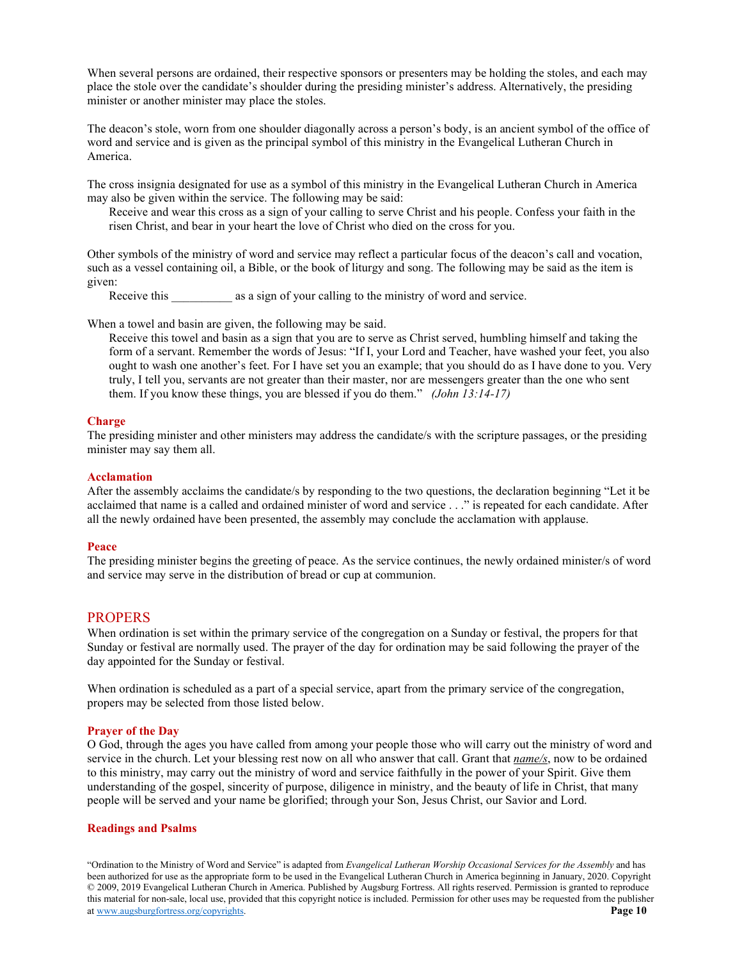When several persons are ordained, their respective sponsors or presenters may be holding the stoles, and each may place the stole over the candidate's shoulder during the presiding minister's address. Alternatively, the presiding minister or another minister may place the stoles.

The deacon's stole, worn from one shoulder diagonally across a person's body, is an ancient symbol of the office of word and service and is given as the principal symbol of this ministry in the Evangelical Lutheran Church in America.

The cross insignia designated for use as a symbol of this ministry in the Evangelical Lutheran Church in America may also be given within the service. The following may be said:

Receive and wear this cross as a sign of your calling to serve Christ and his people. Confess your faith in the risen Christ, and bear in your heart the love of Christ who died on the cross for you.

Other symbols of the ministry of word and service may reflect a particular focus of the deacon's call and vocation, such as a vessel containing oil, a Bible, or the book of liturgy and song. The following may be said as the item is given:

Receive this \_\_\_\_\_\_\_\_\_\_ as a sign of your calling to the ministry of word and service.

When a towel and basin are given, the following may be said.

Receive this towel and basin as a sign that you are to serve as Christ served, humbling himself and taking the form of a servant. Remember the words of Jesus: "If I, your Lord and Teacher, have washed your feet, you also ought to wash one another's feet. For I have set you an example; that you should do as I have done to you. Very truly, I tell you, servants are not greater than their master, nor are messengers greater than the one who sent them. If you know these things, you are blessed if you do them." *(John 13:14-17)*

#### **Charge**

The presiding minister and other ministers may address the candidate/s with the scripture passages, or the presiding minister may say them all.

#### **Acclamation**

After the assembly acclaims the candidate/s by responding to the two questions, the declaration beginning "Let it be acclaimed that name is a called and ordained minister of word and service . . ." is repeated for each candidate. After all the newly ordained have been presented, the assembly may conclude the acclamation with applause.

#### **Peace**

The presiding minister begins the greeting of peace. As the service continues, the newly ordained minister/s of word and service may serve in the distribution of bread or cup at communion.

#### **PROPERS**

When ordination is set within the primary service of the congregation on a Sunday or festival, the propers for that Sunday or festival are normally used. The prayer of the day for ordination may be said following the prayer of the day appointed for the Sunday or festival.

When ordination is scheduled as a part of a special service, apart from the primary service of the congregation, propers may be selected from those listed below.

#### **Prayer of the Day**

O God, through the ages you have called from among your people those who will carry out the ministry of word and service in the church. Let your blessing rest now on all who answer that call. Grant that *name/s*, now to be ordained to this ministry, may carry out the ministry of word and service faithfully in the power of your Spirit. Give them understanding of the gospel, sincerity of purpose, diligence in ministry, and the beauty of life in Christ, that many people will be served and your name be glorified; through your Son, Jesus Christ, our Savior and Lord.

#### **Readings and Psalms**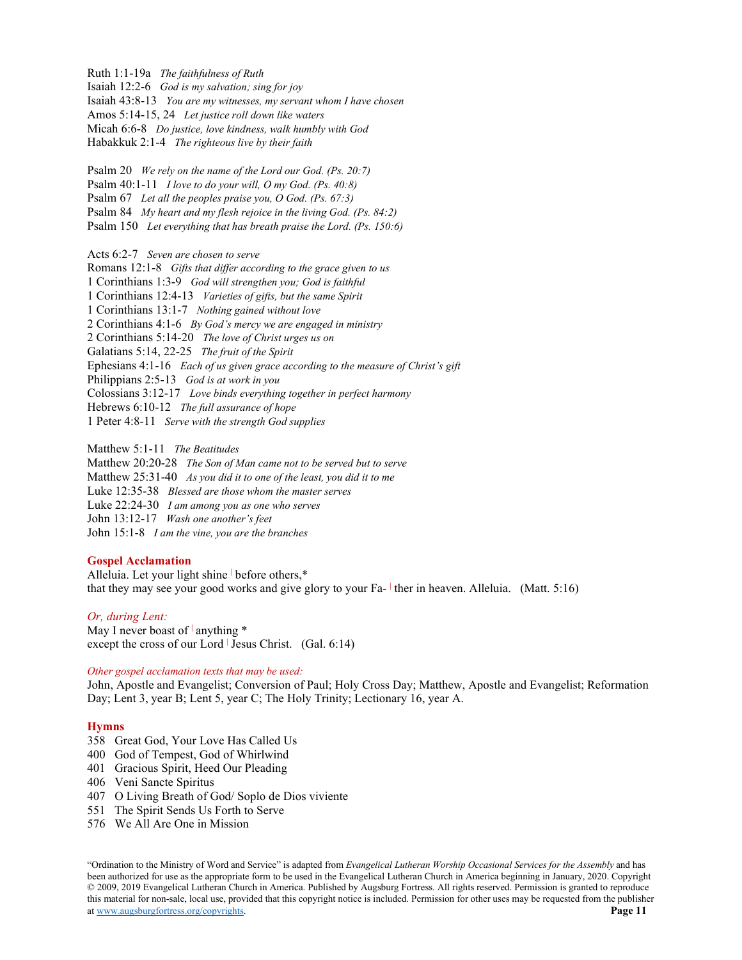Ruth 1:1-19a *The faithfulness of Ruth* Isaiah 12:2-6 *God is my salvation; sing for joy* Isaiah 43:8-13 *You are my witnesses, my servant whom I have chosen* Amos 5:14-15, 24 *Let justice roll down like waters* Micah 6:6-8 *Do justice, love kindness, walk humbly with God* Habakkuk 2:1-4 *The righteous live by their faith* Psalm 20 *We rely on the name of the Lord our God. (Ps. 20:7)* Psalm 40:1-11 *I love to do your will, O my God. (Ps. 40:8)* Psalm 67 *Let all the peoples praise you, O God. (Ps. 67:3)* Psalm 84 *My heart and my flesh rejoice in the living God. (Ps. 84:2)* Psalm 150 *Let everything that has breath praise the Lord. (Ps. 150:6)* Acts 6:2-7 *Seven are chosen to serve* Romans 12:1-8 *Gifts that differ according to the grace given to us* 1 Corinthians 1:3-9 *God will strengthen you; God is faithful* 1 Corinthians 12:4-13 *Varieties of gifts, but the same Spirit* 1 Corinthians 13:1-7 *Nothing gained without love* 2 Corinthians 4:1-6 *By God's mercy we are engaged in ministry* 2 Corinthians 5:14-20 *The love of Christ urges us on* Galatians 5:14, 22-25 *The fruit of the Spirit* Ephesians 4:1-16 *Each of us given grace according to the measure of Christ's gift* Philippians 2:5-13 *God is at work in you* Colossians 3:12-17 *Love binds everything together in perfect harmony* Hebrews 6:10-12 *The full assurance of hope* 1 Peter 4:8-11 *Serve with the strength God supplies* Matthew 5:1-11 *The Beatitudes*

Matthew 20:20-28 *The Son of Man came not to be served but to serve* Matthew 25:31-40 *As you did it to one of the least, you did it to me* Luke 12:35-38 *Blessed are those whom the master serves* Luke 22:24-30 *I am among you as one who serves* John 13:12-17 *Wash one another's feet* John 15:1-8 *I am the vine, you are the branches*

#### **Gospel Acclamation**

Alleluia. Let your light shine before others,\* that they may see your good works and give glory to your Fa- <sup>|</sup> ther in heaven. Alleluia. (Matt. 5:16)

### *Or, during Lent:*

May I never boast of  $|$  anything  $*$ except the cross of our Lord  $\vert$  Jesus Christ. (Gal. 6:14)

#### *Other gospel acclamation texts that may be used:*

John, Apostle and Evangelist; Conversion of Paul; Holy Cross Day; Matthew, Apostle and Evangelist; Reformation Day; Lent 3, year B; Lent 5, year C; The Holy Trinity; Lectionary 16, year A.

#### **Hymns**

- 358 Great God, Your Love Has Called Us
- 400 God of Tempest, God of Whirlwind
- 401 Gracious Spirit, Heed Our Pleading
- 406 Veni Sancte Spiritus
- 407 O Living Breath of God/ Soplo de Dios viviente
- 551 The Spirit Sends Us Forth to Serve
- 576 We All Are One in Mission